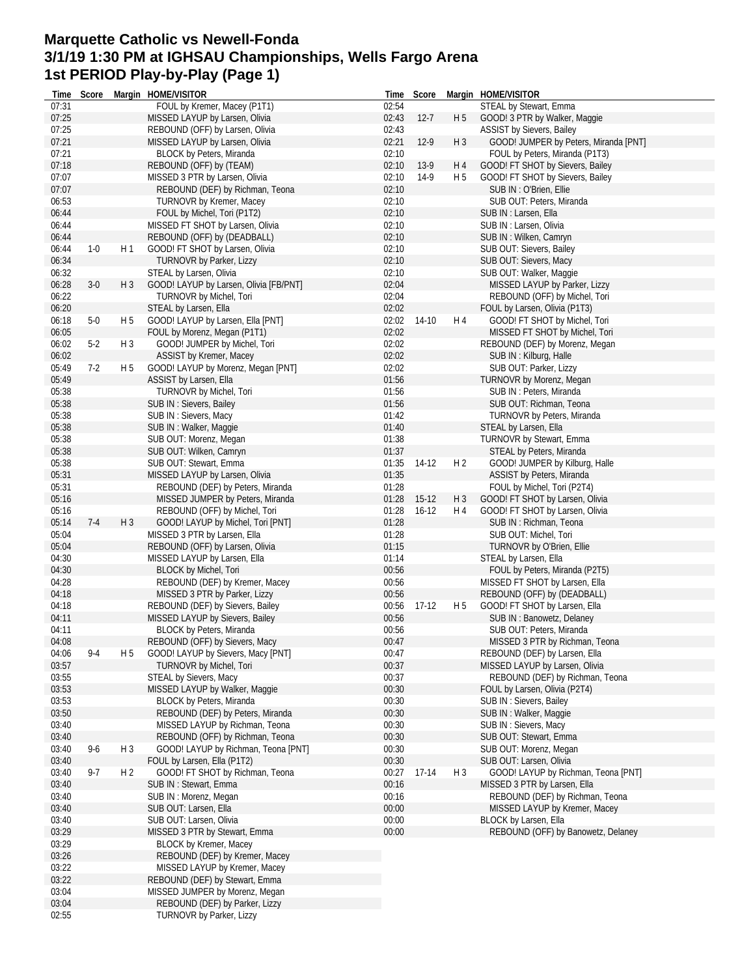### **Marquette Catholic vs Newell-Fonda 3/1/19 1:30 PM at IGHSAU Championships, Wells Fargo Arena 1st PERIOD Play-by-Play (Page 1)**

| Time           | Score   |                | Margin HOME/VISITOR                                      | Time           | Score     |                | Margin HOME/VISITOR                   |
|----------------|---------|----------------|----------------------------------------------------------|----------------|-----------|----------------|---------------------------------------|
| 07:31          |         |                | FOUL by Kremer, Macey (P1T1)                             | 02:54          |           |                | STEAL by Stewart, Emma                |
| 07:25          |         |                | MISSED LAYUP by Larsen, Olivia                           | 02:43          | $12 - 7$  | H <sub>5</sub> | GOOD! 3 PTR by Walker, Maggie         |
| 07:25          |         |                | REBOUND (OFF) by Larsen, Olivia                          | 02:43          |           |                | ASSIST by Sievers, Bailey             |
| 07:21          |         |                | MISSED LAYUP by Larsen, Olivia                           | 02:21          | $12-9$    | H <sub>3</sub> | GOOD! JUMPER by Peters, Miranda [PNT] |
| 07:21          |         |                | BLOCK by Peters, Miranda                                 | 02:10          |           |                | FOUL by Peters, Miranda (P1T3)        |
| 07:18          |         |                | REBOUND (OFF) by (TEAM)                                  | 02:10          | $13-9$    | H 4            | GOOD! FT SHOT by Sievers, Bailey      |
| 07:07          |         |                | MISSED 3 PTR by Larsen, Olivia                           | 02:10          | $14-9$    | H 5            | GOOD! FT SHOT by Sievers, Bailey      |
| 07:07          |         |                | REBOUND (DEF) by Richman, Teona                          | 02:10          |           |                | SUB IN: O'Brien, Ellie                |
| 06:53          |         |                | <b>TURNOVR by Kremer, Macey</b>                          | 02:10          |           |                | SUB OUT: Peters, Miranda              |
| 06:44          |         |                | FOUL by Michel, Tori (P1T2)                              | 02:10          |           |                | SUB IN : Larsen, Ella                 |
| 06:44          |         |                | MISSED FT SHOT by Larsen, Olivia                         | 02:10          |           |                | SUB IN: Larsen, Olivia                |
| 06:44          |         |                | REBOUND (OFF) by (DEADBALL)                              | 02:10          |           |                | SUB IN: Wilken, Camryn                |
|                | $1-0$   | H1             | GOOD! FT SHOT by Larsen, Olivia                          |                |           |                | SUB OUT: Sievers, Bailey              |
| 06:44<br>06:34 |         |                |                                                          | 02:10<br>02:10 |           |                |                                       |
|                |         |                | TURNOVR by Parker, Lizzy                                 |                |           |                | SUB OUT: Sievers, Macy                |
| 06:32          |         |                | STEAL by Larsen, Olivia                                  | 02:10          |           |                | SUB OUT: Walker, Maggie               |
| 06:28          | $3-0$   | H3             | GOOD! LAYUP by Larsen, Olivia [FB/PNT]                   | 02:04          |           |                | MISSED LAYUP by Parker, Lizzy         |
| 06:22          |         |                | TURNOVR by Michel, Tori                                  | 02:04          |           |                | REBOUND (OFF) by Michel, Tori         |
| 06:20          |         |                | STEAL by Larsen, Ella                                    | 02:02          |           |                | FOUL by Larsen, Olivia (P1T3)         |
| 06:18          | $5-0$   | H <sub>5</sub> | GOOD! LAYUP by Larsen, Ella [PNT]                        | 02:02          | 14-10     | H 4            | GOOD! FT SHOT by Michel, Tori         |
| 06:05          |         |                | FOUL by Morenz, Megan (P1T1)                             | 02:02          |           |                | MISSED FT SHOT by Michel, Tori        |
| 06:02          | $5-2$   | $H_3$          | GOOD! JUMPER by Michel, Tori                             | 02:02          |           |                | REBOUND (DEF) by Morenz, Megan        |
| 06:02          |         |                | ASSIST by Kremer, Macey                                  | 02:02          |           |                | SUB IN: Kilburg, Halle                |
| 05:49          | $7-2$   | H 5            | GOOD! LAYUP by Morenz, Megan [PNT]                       | 02:02          |           |                | SUB OUT: Parker, Lizzy                |
| 05:49          |         |                | ASSIST by Larsen, Ella                                   | 01:56          |           |                | TURNOVR by Morenz, Megan              |
| 05:38          |         |                | TURNOVR by Michel, Tori                                  | 01:56          |           |                | SUB IN: Peters, Miranda               |
| 05:38          |         |                | SUB IN : Sievers, Bailey                                 | 01:56          |           |                | SUB OUT: Richman, Teona               |
| 05:38          |         |                | SUB IN: Sievers, Macy                                    | 01:42          |           |                | <b>TURNOVR by Peters, Miranda</b>     |
| 05:38          |         |                | SUB IN: Walker, Maggie                                   | 01:40          |           |                | STEAL by Larsen, Ella                 |
| 05:38          |         |                | SUB OUT: Morenz, Megan                                   | 01:38          |           |                | TURNOVR by Stewart, Emma              |
| 05:38          |         |                | SUB OUT: Wilken, Camryn                                  | 01:37          |           |                | STEAL by Peters, Miranda              |
| 05:38          |         |                | SUB OUT: Stewart, Emma                                   | 01:35          | 14-12     | H <sub>2</sub> | GOOD! JUMPER by Kilburg, Halle        |
| 05:31          |         |                | MISSED LAYUP by Larsen, Olivia                           | 01:35          |           |                | <b>ASSIST by Peters, Miranda</b>      |
| 05:31          |         |                | REBOUND (DEF) by Peters, Miranda                         | 01:28          |           |                | FOUL by Michel, Tori (P2T4)           |
| 05:16          |         |                | MISSED JUMPER by Peters, Miranda                         | 01:28          | $15-12$   | H 3            | GOOD! FT SHOT by Larsen, Olivia       |
| 05:16          |         |                | REBOUND (OFF) by Michel, Tori                            | 01:28          | $16 - 12$ | H 4            | GOOD! FT SHOT by Larsen, Olivia       |
| 05:14          | $7 - 4$ | H <sub>3</sub> |                                                          | 01:28          |           |                |                                       |
|                |         |                | GOOD! LAYUP by Michel, Tori [PNT]                        |                |           |                | SUB IN: Richman, Teona                |
| 05:04          |         |                | MISSED 3 PTR by Larsen, Ella                             | 01:28          |           |                | SUB OUT: Michel, Tori                 |
| 05:04          |         |                | REBOUND (OFF) by Larsen, Olivia                          | 01:15          |           |                | TURNOVR by O'Brien, Ellie             |
| 04:30          |         |                | MISSED LAYUP by Larsen, Ella                             | 01:14          |           |                | STEAL by Larsen, Ella                 |
| 04:30          |         |                | BLOCK by Michel, Tori                                    | 00:56          |           |                | FOUL by Peters, Miranda (P2T5)        |
| 04:28          |         |                | REBOUND (DEF) by Kremer, Macey                           | 00:56          |           |                | MISSED FT SHOT by Larsen, Ella        |
| 04:18          |         |                | MISSED 3 PTR by Parker, Lizzy                            | 00:56          |           |                | REBOUND (OFF) by (DEADBALL)           |
| 04:18          |         |                | REBOUND (DEF) by Sievers, Bailey                         | 00:56          | 17-12     | H 5            | GOOD! FT SHOT by Larsen, Ella         |
| 04:11          |         |                | MISSED LAYUP by Sievers, Bailey                          | 00:56          |           |                | SUB IN: Banowetz, Delaney             |
| 04:11          |         |                | BLOCK by Peters, Miranda                                 | 00:56          |           |                | SUB OUT: Peters, Miranda              |
| 04:08          |         |                | REBOUND (OFF) by Sievers, Macy                           | 00:47          |           |                | MISSED 3 PTR by Richman, Teona        |
| 04:06          | $9 - 4$ | H <sub>5</sub> | GOOD! LAYUP by Sievers, Macy [PNT]                       | 00:47          |           |                | REBOUND (DEF) by Larsen, Ella         |
| 03:57          |         |                | TURNOVR by Michel, Tori                                  | 00:37          |           |                | MISSED LAYUP by Larsen, Olivia        |
| 03:55          |         |                | STEAL by Sievers, Macy                                   | 00:37          |           |                | REBOUND (DEF) by Richman, Teona       |
| 03:53          |         |                | MISSED LAYUP by Walker, Maggie                           | 00:30          |           |                | FOUL by Larsen, Olivia (P2T4)         |
| 03:53          |         |                | BLOCK by Peters, Miranda                                 | 00:30          |           |                | SUB IN: Sievers, Bailey               |
| 03:50          |         |                | REBOUND (DEF) by Peters, Miranda                         | 00:30          |           |                | SUB IN: Walker, Maggie                |
| 03:40          |         |                | MISSED LAYUP by Richman, Teona                           | 00:30          |           |                | SUB IN: Sievers, Macy                 |
| 03:40          |         |                | REBOUND (OFF) by Richman, Teona                          | 00:30          |           |                | SUB OUT: Stewart, Emma                |
| 03:40          | $9-6$   | H <sub>3</sub> | GOOD! LAYUP by Richman, Teona [PNT]                      | 00:30          |           |                | SUB OUT: Morenz, Megan                |
| 03:40          |         |                | FOUL by Larsen, Ella (P1T2)                              | 00:30          |           |                | SUB OUT: Larsen, Olivia               |
|                |         |                |                                                          |                |           |                | GOOD! LAYUP by Richman, Teona [PNT]   |
| 03:40<br>03:40 | 9-7     | H 2            | GOOD! FT SHOT by Richman, Teona<br>SUB IN: Stewart, Emma | 00:27<br>00:16 | $17 - 14$ | $H_3$          |                                       |
|                |         |                |                                                          |                |           |                | MISSED 3 PTR by Larsen, Ella          |
| 03:40          |         |                | SUB IN: Morenz, Megan                                    | 00:16          |           |                | REBOUND (DEF) by Richman, Teona       |
| 03:40          |         |                | SUB OUT: Larsen, Ella                                    | 00:00          |           |                | MISSED LAYUP by Kremer, Macey         |
| 03:40          |         |                | SUB OUT: Larsen, Olivia                                  | 00:00          |           |                | BLOCK by Larsen, Ella                 |
| 03:29          |         |                | MISSED 3 PTR by Stewart, Emma                            | 00:00          |           |                | REBOUND (OFF) by Banowetz, Delaney    |
| 03:29          |         |                | BLOCK by Kremer, Macey                                   |                |           |                |                                       |
| 03:26          |         |                | REBOUND (DEF) by Kremer, Macey                           |                |           |                |                                       |
| 03:22          |         |                | MISSED LAYUP by Kremer, Macey                            |                |           |                |                                       |
| 03:22          |         |                | REBOUND (DEF) by Stewart, Emma                           |                |           |                |                                       |
| 03:04          |         |                | MISSED JUMPER by Morenz, Megan                           |                |           |                |                                       |
| 03:04          |         |                | REBOUND (DEF) by Parker, Lizzy                           |                |           |                |                                       |
| 02:55          |         |                | TURNOVR by Parker, Lizzy                                 |                |           |                |                                       |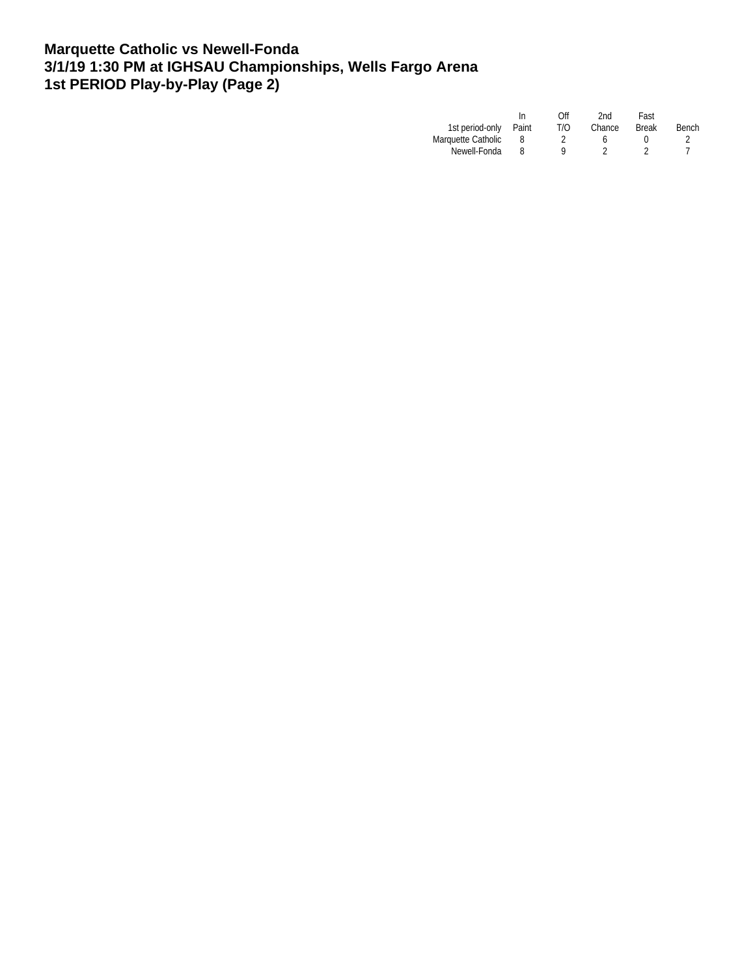### **Marquette Catholic vs Newell-Fonda 3/1/19 1:30 PM at IGHSAU Championships, Wells Fargo Arena 1st PERIOD Play-by-Play (Page 2)**

|                       | In | Off | 2nd    | Fast         |       |
|-----------------------|----|-----|--------|--------------|-------|
| 1st period-only Paint |    | T/O | Chance | <b>Break</b> | Bench |
| Marquette Catholic    |    |     |        |              |       |
| Newell-Fonda          |    | o   |        |              |       |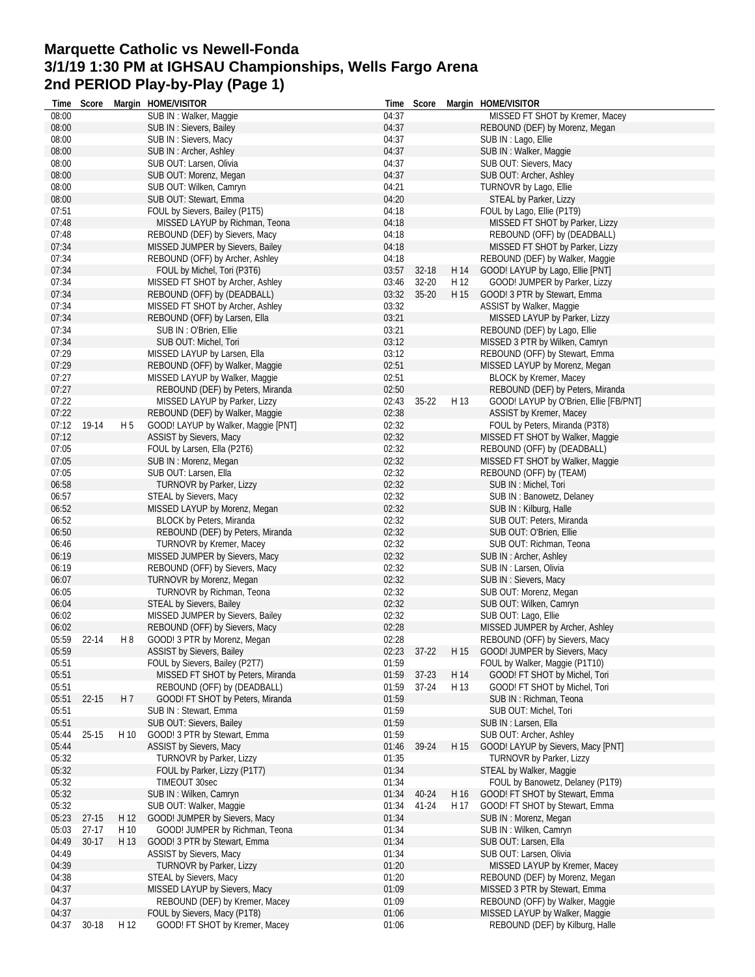### **Marquette Catholic vs Newell-Fonda 3/1/19 1:30 PM at IGHSAU Championships, Wells Fargo Arena 2nd PERIOD Play-by-Play (Page 1)**

|       | Time Score |      | Margin HOME/VISITOR                 |       | Time Score  |      | Margin HOME/VISITOR                    |
|-------|------------|------|-------------------------------------|-------|-------------|------|----------------------------------------|
| 08:00 |            |      | SUB IN: Walker, Maggie              | 04:37 |             |      | MISSED FT SHOT by Kremer, Macey        |
| 08:00 |            |      | SUB IN: Sievers, Bailey             | 04:37 |             |      | REBOUND (DEF) by Morenz, Megan         |
| 08:00 |            |      | SUB IN: Sievers, Macy               | 04:37 |             |      | SUB IN: Lago, Ellie                    |
| 08:00 |            |      | SUB IN: Archer, Ashley              | 04:37 |             |      | SUB IN: Walker, Maggie                 |
| 08:00 |            |      | SUB OUT: Larsen, Olivia             | 04:37 |             |      | SUB OUT: Sievers, Macy                 |
|       |            |      |                                     |       |             |      |                                        |
| 08:00 |            |      | SUB OUT: Morenz, Megan              | 04:37 |             |      | SUB OUT: Archer, Ashley                |
| 08:00 |            |      | SUB OUT: Wilken, Camryn             | 04:21 |             |      | TURNOVR by Lago, Ellie                 |
| 08:00 |            |      | SUB OUT: Stewart, Emma              | 04:20 |             |      | STEAL by Parker, Lizzy                 |
| 07:51 |            |      | FOUL by Sievers, Bailey (P1T5)      | 04:18 |             |      | FOUL by Lago, Ellie (P1T9)             |
| 07:48 |            |      | MISSED LAYUP by Richman, Teona      | 04:18 |             |      | MISSED FT SHOT by Parker, Lizzy        |
| 07:48 |            |      | REBOUND (DEF) by Sievers, Macy      | 04:18 |             |      | REBOUND (OFF) by (DEADBALL)            |
| 07:34 |            |      | MISSED JUMPER by Sievers, Bailey    | 04:18 |             |      | MISSED FT SHOT by Parker, Lizzy        |
| 07:34 |            |      | REBOUND (OFF) by Archer, Ashley     | 04:18 |             |      |                                        |
|       |            |      |                                     |       |             |      | REBOUND (DEF) by Walker, Maggie        |
| 07:34 |            |      | FOUL by Michel, Tori (P3T6)         | 03:57 | 32-18       | H 14 | GOOD! LAYUP by Lago, Ellie [PNT]       |
| 07:34 |            |      | MISSED FT SHOT by Archer, Ashley    | 03:46 | $32 - 20$   | H 12 | GOOD! JUMPER by Parker, Lizzy          |
| 07:34 |            |      | REBOUND (OFF) by (DEADBALL)         | 03:32 | $35 - 20$   | H 15 | GOOD! 3 PTR by Stewart, Emma           |
| 07:34 |            |      | MISSED FT SHOT by Archer, Ashley    | 03:32 |             |      | ASSIST by Walker, Maggie               |
| 07:34 |            |      | REBOUND (OFF) by Larsen, Ella       | 03:21 |             |      | MISSED LAYUP by Parker, Lizzy          |
| 07:34 |            |      | SUB IN: O'Brien, Ellie              | 03:21 |             |      | REBOUND (DEF) by Lago, Ellie           |
| 07:34 |            |      | SUB OUT: Michel. Tori               | 03:12 |             |      | MISSED 3 PTR by Wilken, Camryn         |
| 07:29 |            |      |                                     | 03:12 |             |      | REBOUND (OFF) by Stewart, Emma         |
|       |            |      | MISSED LAYUP by Larsen, Ella        |       |             |      |                                        |
| 07:29 |            |      | REBOUND (OFF) by Walker, Maggie     | 02:51 |             |      | MISSED LAYUP by Morenz, Megan          |
| 07:27 |            |      | MISSED LAYUP by Walker, Maggie      | 02:51 |             |      | <b>BLOCK by Kremer, Macey</b>          |
| 07:27 |            |      | REBOUND (DEF) by Peters, Miranda    | 02:50 |             |      | REBOUND (DEF) by Peters, Miranda       |
| 07:22 |            |      | MISSED LAYUP by Parker, Lizzy       | 02:43 | $35 - 22$   | H 13 | GOOD! LAYUP by O'Brien, Ellie [FB/PNT] |
| 07:22 |            |      | REBOUND (DEF) by Walker, Maggie     | 02:38 |             |      | ASSIST by Kremer, Macey                |
| 07:12 | 19-14      | H 5  | GOOD! LAYUP by Walker, Maggie [PNT] | 02:32 |             |      | FOUL by Peters, Miranda (P3T8)         |
| 07:12 |            |      |                                     |       |             |      |                                        |
|       |            |      | ASSIST by Sievers, Macy             | 02:32 |             |      | MISSED FT SHOT by Walker, Maggie       |
| 07:05 |            |      | FOUL by Larsen, Ella (P2T6)         | 02:32 |             |      | REBOUND (OFF) by (DEADBALL)            |
| 07:05 |            |      | SUB IN: Morenz, Megan               | 02:32 |             |      | MISSED FT SHOT by Walker, Maggie       |
| 07:05 |            |      | SUB OUT: Larsen, Ella               | 02:32 |             |      | REBOUND (OFF) by (TEAM)                |
| 06:58 |            |      | TURNOVR by Parker, Lizzy            | 02:32 |             |      | SUB IN: Michel, Tori                   |
| 06:57 |            |      | STEAL by Sievers, Macy              | 02:32 |             |      | SUB IN: Banowetz, Delaney              |
| 06:52 |            |      | MISSED LAYUP by Morenz, Megan       | 02:32 |             |      | SUB IN: Kilburg, Halle                 |
| 06:52 |            |      | BLOCK by Peters, Miranda            | 02:32 |             |      | SUB OUT: Peters, Miranda               |
| 06:50 |            |      |                                     | 02:32 |             |      | SUB OUT: O'Brien, Ellie                |
|       |            |      | REBOUND (DEF) by Peters, Miranda    |       |             |      |                                        |
| 06:46 |            |      | TURNOVR by Kremer, Macey            | 02:32 |             |      | SUB OUT: Richman, Teona                |
| 06:19 |            |      | MISSED JUMPER by Sievers, Macy      | 02:32 |             |      | SUB IN: Archer, Ashley                 |
| 06:19 |            |      | REBOUND (OFF) by Sievers, Macy      | 02:32 |             |      | SUB IN: Larsen, Olivia                 |
| 06:07 |            |      | TURNOVR by Morenz, Megan            | 02:32 |             |      | SUB IN: Sievers, Macy                  |
| 06:05 |            |      | TURNOVR by Richman, Teona           | 02:32 |             |      | SUB OUT: Morenz, Megan                 |
| 06:04 |            |      | STEAL by Sievers, Bailey            | 02:32 |             |      | SUB OUT: Wilken, Camryn                |
| 06:02 |            |      | MISSED JUMPER by Sievers, Bailey    | 02:32 |             |      | SUB OUT: Lago, Ellie                   |
| 06:02 |            |      | REBOUND (OFF) by Sievers, Macy      | 02:28 |             |      | MISSED JUMPER by Archer, Ashley        |
| 05:59 | 22-14      | H8   | GOOD! 3 PTR by Morenz, Megan        | 02:28 |             |      | REBOUND (OFF) by Sievers, Macy         |
|       |            |      |                                     |       |             |      |                                        |
| 05:59 |            |      | ASSIST by Sievers, Bailey           |       | 02:23 37-22 |      | H 15 GOOD! JUMPER by Sievers, Macy     |
| 05:51 |            |      | FOUL by Sievers, Bailey (P2T7)      | 01:59 |             |      | FOUL by Walker, Maggie (P1T10)         |
| 05:51 |            |      | MISSED FT SHOT by Peters, Miranda   | 01:59 | $37 - 23$   | H 14 | GOOD! FT SHOT by Michel, Tori          |
| 05:51 |            |      | REBOUND (OFF) by (DEADBALL)         | 01:59 | $37-24$     | H 13 | GOOD! FT SHOT by Michel, Tori          |
| 05:51 | 22-15      | H 7  | GOOD! FT SHOT by Peters, Miranda    | 01:59 |             |      | SUB IN: Richman, Teona                 |
| 05:51 |            |      | SUB IN: Stewart, Emma               | 01:59 |             |      | SUB OUT: Michel, Tori                  |
| 05:51 |            |      | SUB OUT: Sievers, Bailey            | 01:59 |             |      | SUB IN: Larsen, Ella                   |
| 05:44 | $25 - 15$  | H 10 | GOOD! 3 PTR by Stewart, Emma        | 01:59 |             |      | SUB OUT: Archer, Ashlev                |
| 05:44 |            |      |                                     |       | 39-24       | H 15 |                                        |
|       |            |      | ASSIST by Sievers, Macy             | 01:46 |             |      | GOOD! LAYUP by Sievers, Macy [PNT]     |
| 05:32 |            |      | TURNOVR by Parker, Lizzy            | 01:35 |             |      | TURNOVR by Parker, Lizzy               |
| 05:32 |            |      | FOUL by Parker, Lizzy (P1T7)        | 01:34 |             |      | STEAL by Walker, Maggie                |
| 05:32 |            |      | <b>TIMEOUT 30sec</b>                | 01:34 |             |      | FOUL by Banowetz, Delaney (P1T9)       |
| 05:32 |            |      | SUB IN: Wilken, Camryn              | 01:34 | 40-24       | H 16 | GOOD! FT SHOT by Stewart, Emma         |
| 05:32 |            |      | SUB OUT: Walker, Maggie             | 01:34 | 41-24       | H 17 | GOOD! FT SHOT by Stewart, Emma         |
| 05:23 | $27-15$    | H 12 | GOOD! JUMPER by Sievers, Macy       | 01:34 |             |      | SUB IN: Morenz, Megan                  |
| 05:03 | $27-17$    | H 10 | GOOD! JUMPER by Richman, Teona      | 01:34 |             |      | SUB IN: Wilken, Camryn                 |
|       |            |      |                                     |       |             |      |                                        |
| 04:49 | $30-17$    | H 13 | GOOD! 3 PTR by Stewart, Emma        | 01:34 |             |      | SUB OUT: Larsen, Ella                  |
| 04:49 |            |      | ASSIST by Sievers, Macy             | 01:34 |             |      | SUB OUT: Larsen, Olivia                |
| 04:39 |            |      | <b>TURNOVR by Parker, Lizzy</b>     | 01:20 |             |      | MISSED LAYUP by Kremer, Macey          |
| 04:38 |            |      | STEAL by Sievers, Macy              | 01:20 |             |      | REBOUND (DEF) by Morenz, Megan         |
| 04:37 |            |      | MISSED LAYUP by Sievers, Macy       | 01:09 |             |      | MISSED 3 PTR by Stewart, Emma          |
| 04:37 |            |      | REBOUND (DEF) by Kremer, Macey      | 01:09 |             |      | REBOUND (OFF) by Walker, Maggie        |
| 04:37 |            |      | FOUL by Sievers, Macy (P1T8)        | 01:06 |             |      | MISSED LAYUP by Walker, Maggie         |
| 04:37 | 30-18      | H 12 | GOOD! FT SHOT by Kremer, Macey      | 01:06 |             |      | REBOUND (DEF) by Kilburg, Halle        |
|       |            |      |                                     |       |             |      |                                        |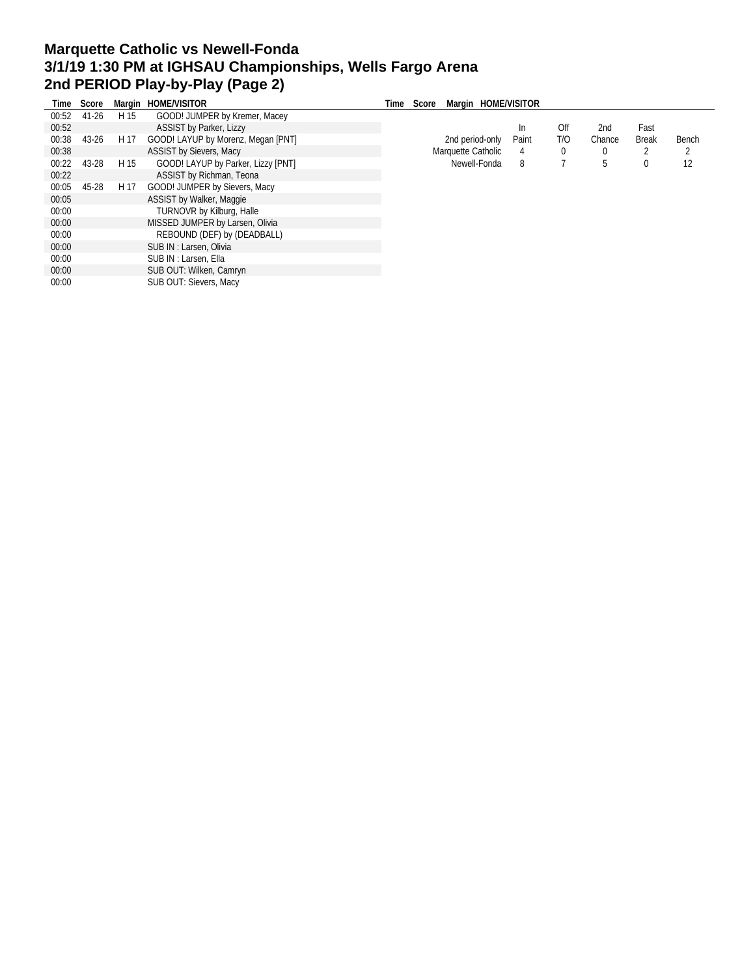# **Marquette Catholic vs Newell-Fonda 3/1/19 1:30 PM at IGHSAU Championships, Wells Fargo Arena 2nd PERIOD Play-by-Play (Page 2)**

|       | Time Score |      | Margin HOME/VISITOR                | Time | Margin HOME/VISITOR<br>Score |       |             |        |              |       |
|-------|------------|------|------------------------------------|------|------------------------------|-------|-------------|--------|--------------|-------|
| 00:52 | 41-26      | H 15 | GOOD! JUMPER by Kremer, Macey      |      |                              |       |             |        |              |       |
| 00:52 |            |      | <b>ASSIST by Parker, Lizzy</b>     |      |                              | In.   | Off         | 2nd    | Fast         |       |
| 00:38 | 43-26      | H 17 | GOOD! LAYUP by Morenz, Megan [PNT] |      | 2nd period-only              | Paint | T/O         | Chance | <b>Break</b> | Bench |
| 00:38 |            |      | <b>ASSIST by Sievers, Macy</b>     |      | Marquette Catholic           | 4     | $\mathbf 0$ |        |              |       |
| 00:22 | 43-28      | H 15 | GOOD! LAYUP by Parker, Lizzy [PNT] |      | Newell-Fonda                 | 8     |             |        | 0            | 12    |
| 00:22 |            |      | ASSIST by Richman, Teona           |      |                              |       |             |        |              |       |
| 00:05 | 45-28      | H 17 | GOOD! JUMPER by Sievers, Macy      |      |                              |       |             |        |              |       |
| 00:05 |            |      | ASSIST by Walker, Maggie           |      |                              |       |             |        |              |       |
| 00:00 |            |      | <b>TURNOVR by Kilburg, Halle</b>   |      |                              |       |             |        |              |       |
| 00:00 |            |      | MISSED JUMPER by Larsen, Olivia    |      |                              |       |             |        |              |       |
| 00:00 |            |      | REBOUND (DEF) by (DEADBALL)        |      |                              |       |             |        |              |       |
| 00:00 |            |      | SUB IN: Larsen, Olivia             |      |                              |       |             |        |              |       |
| 00:00 |            |      | SUB IN : Larsen, Ella              |      |                              |       |             |        |              |       |
| 00:00 |            |      | SUB OUT: Wilken, Camryn            |      |                              |       |             |        |              |       |
| 00:00 |            |      | SUB OUT: Sievers, Macy             |      |                              |       |             |        |              |       |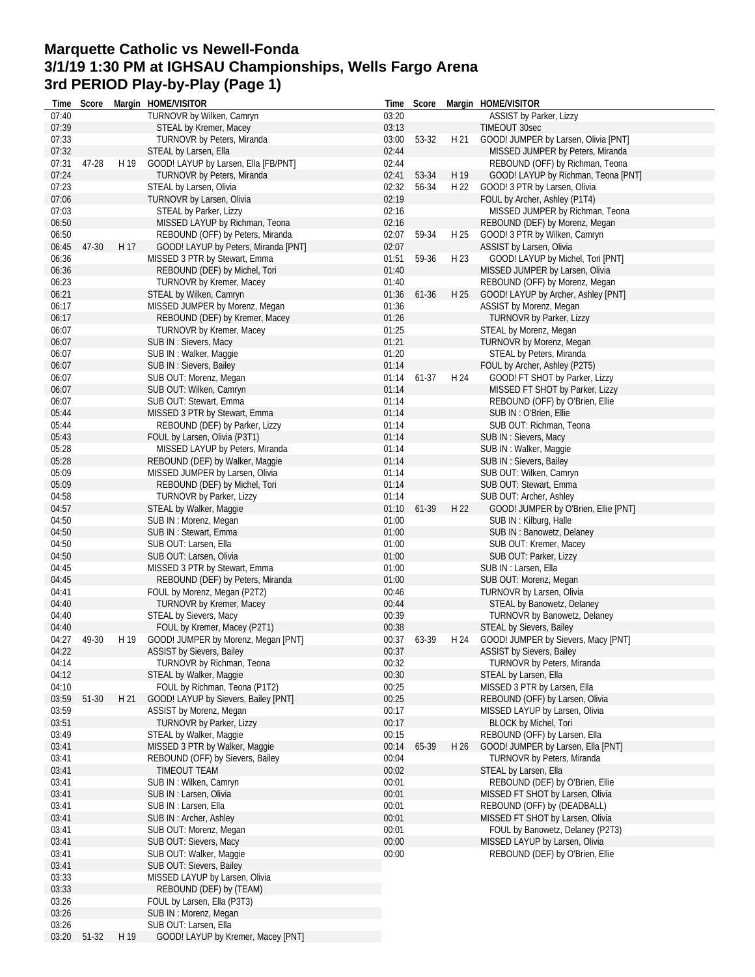#### **Marquette Catholic vs Newell-Fonda 3/1/19 1:30 PM at IGHSAU Championships, Wells Fargo Arena 3rd PERIOD Play-by-Play (Page 1) Time Score Margin HOME/VISITOR**

| Time  | Score   |      | Margin HOME/VISITOR                  | Time  | Score |      | Margin HOME/VISITOR                      |
|-------|---------|------|--------------------------------------|-------|-------|------|------------------------------------------|
| 07:40 |         |      | TURNOVR by Wilken, Camryn            | 03:20 |       |      | ASSIST by Parker, Lizzy                  |
| 07:39 |         |      | STEAL by Kremer, Macey               | 03:13 |       |      | <b>TIMEOUT 30sec</b>                     |
| 07:33 |         |      | TURNOVR by Peters, Miranda           | 03:00 | 53-32 | H 21 | GOOD! JUMPER by Larsen, Olivia [PNT]     |
| 07:32 |         |      | STEAL by Larsen, Ella                | 02:44 |       |      | MISSED JUMPER by Peters, Miranda         |
| 07:31 | 47-28   | H 19 | GOOD! LAYUP by Larsen, Ella [FB/PNT] | 02:44 |       |      | REBOUND (OFF) by Richman, Teona          |
| 07:24 |         |      | TURNOVR by Peters, Miranda           | 02:41 | 53-34 | H 19 | GOOD! LAYUP by Richman, Teona [PNT]      |
| 07:23 |         |      | STEAL by Larsen, Olivia              | 02:32 | 56-34 | H 22 | GOOD! 3 PTR by Larsen, Olivia            |
| 07:06 |         |      | TURNOVR by Larsen, Olivia            | 02:19 |       |      | FOUL by Archer, Ashley (P1T4)            |
| 07:03 |         |      | STEAL by Parker, Lizzy               | 02:16 |       |      | MISSED JUMPER by Richman, Teona          |
| 06:50 |         |      | MISSED LAYUP by Richman, Teona       | 02:16 |       |      | REBOUND (DEF) by Morenz, Megan           |
| 06:50 |         |      | REBOUND (OFF) by Peters, Miranda     | 02:07 | 59-34 | H 25 | GOOD! 3 PTR by Wilken, Camryn            |
| 06:45 | 47-30   | H 17 | GOOD! LAYUP by Peters, Miranda [PNT] | 02:07 |       |      | ASSIST by Larsen, Olivia                 |
| 06:36 |         |      | MISSED 3 PTR by Stewart, Emma        | 01:51 | 59-36 | H 23 | GOOD! LAYUP by Michel, Tori [PNT]        |
| 06:36 |         |      | REBOUND (DEF) by Michel, Tori        | 01:40 |       |      | MISSED JUMPER by Larsen, Olivia          |
| 06:23 |         |      | TURNOVR by Kremer, Macey             | 01:40 |       |      | REBOUND (OFF) by Morenz, Megan           |
|       |         |      | STEAL by Wilken, Camryn              |       | 61-36 |      |                                          |
| 06:21 |         |      |                                      | 01:36 |       | H 25 | GOOD! LAYUP by Archer, Ashley [PNT]      |
| 06:17 |         |      | MISSED JUMPER by Morenz, Megan       | 01:36 |       |      | ASSIST by Morenz, Megan                  |
| 06:17 |         |      | REBOUND (DEF) by Kremer, Macey       | 01:26 |       |      | <b>TURNOVR by Parker, Lizzy</b>          |
| 06:07 |         |      | TURNOVR by Kremer, Macey             | 01:25 |       |      | STEAL by Morenz, Megan                   |
| 06:07 |         |      | SUB IN: Sievers, Macy                | 01:21 |       |      | TURNOVR by Morenz, Megan                 |
| 06:07 |         |      | SUB IN: Walker, Maggie               | 01:20 |       |      | STEAL by Peters, Miranda                 |
| 06:07 |         |      | SUB IN : Sievers, Bailey             | 01:14 |       |      | FOUL by Archer, Ashley (P2T5)            |
| 06:07 |         |      | SUB OUT: Morenz, Megan               | 01:14 | 61-37 | H 24 | GOOD! FT SHOT by Parker, Lizzy           |
| 06:07 |         |      | SUB OUT: Wilken, Camryn              | 01:14 |       |      | MISSED FT SHOT by Parker, Lizzy          |
| 06:07 |         |      | SUB OUT: Stewart, Emma               | 01:14 |       |      | REBOUND (OFF) by O'Brien, Ellie          |
| 05:44 |         |      | MISSED 3 PTR by Stewart, Emma        | 01:14 |       |      | SUB IN : O'Brien, Ellie                  |
| 05:44 |         |      | REBOUND (DEF) by Parker, Lizzy       | 01:14 |       |      | SUB OUT: Richman, Teona                  |
| 05:43 |         |      | FOUL by Larsen, Olivia (P3T1)        | 01:14 |       |      | SUB IN: Sievers, Macy                    |
| 05:28 |         |      | MISSED LAYUP by Peters, Miranda      | 01:14 |       |      | SUB IN: Walker, Maggie                   |
| 05:28 |         |      | REBOUND (DEF) by Walker, Maggie      | 01:14 |       |      | SUB IN: Sievers, Bailey                  |
| 05:09 |         |      | MISSED JUMPER by Larsen, Olivia      | 01:14 |       |      | SUB OUT: Wilken, Camryn                  |
| 05:09 |         |      | REBOUND (DEF) by Michel, Tori        | 01:14 |       |      | SUB OUT: Stewart, Emma                   |
| 04:58 |         |      | TURNOVR by Parker, Lizzy             | 01:14 |       |      | SUB OUT: Archer, Ashley                  |
|       |         |      |                                      |       |       |      |                                          |
| 04:57 |         |      | STEAL by Walker, Maggie              | 01:10 | 61-39 | H 22 | GOOD! JUMPER by O'Brien, Ellie [PNT]     |
| 04:50 |         |      | SUB IN: Morenz, Megan                | 01:00 |       |      | SUB IN: Kilburg, Halle                   |
| 04:50 |         |      | SUB IN: Stewart, Emma                | 01:00 |       |      | SUB IN: Banowetz, Delaney                |
| 04:50 |         |      | SUB OUT: Larsen, Ella                | 01:00 |       |      | SUB OUT: Kremer, Macey                   |
| 04:50 |         |      | SUB OUT: Larsen, Olivia              | 01:00 |       |      | SUB OUT: Parker, Lizzy                   |
| 04:45 |         |      | MISSED 3 PTR by Stewart, Emma        | 01:00 |       |      | SUB IN: Larsen, Ella                     |
| 04:45 |         |      | REBOUND (DEF) by Peters, Miranda     | 01:00 |       |      | SUB OUT: Morenz, Megan                   |
| 04:41 |         |      | FOUL by Morenz, Megan (P2T2)         | 00:46 |       |      | <b>TURNOVR by Larsen, Olivia</b>         |
| 04:40 |         |      | TURNOVR by Kremer, Macey             | 00:44 |       |      | STEAL by Banowetz, Delaney               |
| 04:40 |         |      | STEAL by Sievers, Macy               | 00:39 |       |      | TURNOVR by Banowetz, Delaney             |
| 04:40 |         |      | FOUL by Kremer, Macey (P2T1)         | 00:38 |       |      | <b>STEAL by Sievers, Bailey</b>          |
| 04:27 | 49-30   | H 19 | GOOD! JUMPER by Morenz, Megan [PNT]  | 00:37 | 63-39 |      | H 24 GOOD! JUMPER by Sievers, Macy [PNT] |
| 04:22 |         |      | ASSIST by Sievers, Bailey            | 00:37 |       |      | <b>ASSIST by Sievers, Bailey</b>         |
| 04:14 |         |      | TURNOVR by Richman, Teona            | 00:32 |       |      | TURNOVR by Peters, Miranda               |
| 04:12 |         |      | STEAL by Walker, Maggie              | 00:30 |       |      | STEAL by Larsen, Ella                    |
| 04:10 |         |      | FOUL by Richman, Teona (P1T2)        | 00:25 |       |      | MISSED 3 PTR by Larsen, Ella             |
| 03:59 | 51-30   | H 21 | GOOD! LAYUP by Sievers, Bailey [PNT] | 00:25 |       |      | REBOUND (OFF) by Larsen, Olivia          |
| 03:59 |         |      | ASSIST by Morenz, Megan              | 00:17 |       |      | MISSED LAYUP by Larsen, Olivia           |
| 03:51 |         |      | TURNOVR by Parker, Lizzy             | 00:17 |       |      | <b>BLOCK by Michel, Tori</b>             |
|       |         |      |                                      |       |       |      |                                          |
| 03:49 |         |      | STEAL by Walker, Maggie              | 00:15 |       |      | REBOUND (OFF) by Larsen, Ella            |
| 03:41 |         |      | MISSED 3 PTR by Walker, Maggie       | 00:14 | 65-39 | H 26 | GOOD! JUMPER by Larsen, Ella [PNT]       |
| 03:41 |         |      | REBOUND (OFF) by Sievers, Bailey     | 00:04 |       |      | TURNOVR by Peters, Miranda               |
| 03:41 |         |      | TIMEOUT TEAM                         | 00:02 |       |      | STEAL by Larsen, Ella                    |
| 03:41 |         |      | SUB IN: Wilken, Camryn               | 00:01 |       |      | REBOUND (DEF) by O'Brien, Ellie          |
| 03:41 |         |      | SUB IN : Larsen, Olivia              | 00:01 |       |      | MISSED FT SHOT by Larsen, Olivia         |
| 03:41 |         |      | SUB IN: Larsen, Ella                 | 00:01 |       |      | REBOUND (OFF) by (DEADBALL)              |
| 03:41 |         |      | SUB IN: Archer, Ashley               | 00:01 |       |      | MISSED FT SHOT by Larsen, Olivia         |
| 03:41 |         |      | SUB OUT: Morenz, Megan               | 00:01 |       |      | FOUL by Banowetz, Delaney (P2T3)         |
| 03:41 |         |      | SUB OUT: Sievers, Macy               | 00:00 |       |      | MISSED LAYUP by Larsen, Olivia           |
| 03:41 |         |      | SUB OUT: Walker, Maggie              | 00:00 |       |      | REBOUND (DEF) by O'Brien, Ellie          |
| 03:41 |         |      | SUB OUT: Sievers, Bailey             |       |       |      |                                          |
| 03:33 |         |      | MISSED LAYUP by Larsen, Olivia       |       |       |      |                                          |
| 03:33 |         |      | REBOUND (DEF) by (TEAM)              |       |       |      |                                          |
| 03:26 |         |      | FOUL by Larsen, Ella (P3T3)          |       |       |      |                                          |
| 03:26 |         |      | SUB IN: Morenz, Megan                |       |       |      |                                          |
| 03:26 |         |      | SUB OUT: Larsen, Ella                |       |       |      |                                          |
| 03:20 | $51-32$ | H 19 | GOOD! LAYUP by Kremer, Macey [PNT]   |       |       |      |                                          |
|       |         |      |                                      |       |       |      |                                          |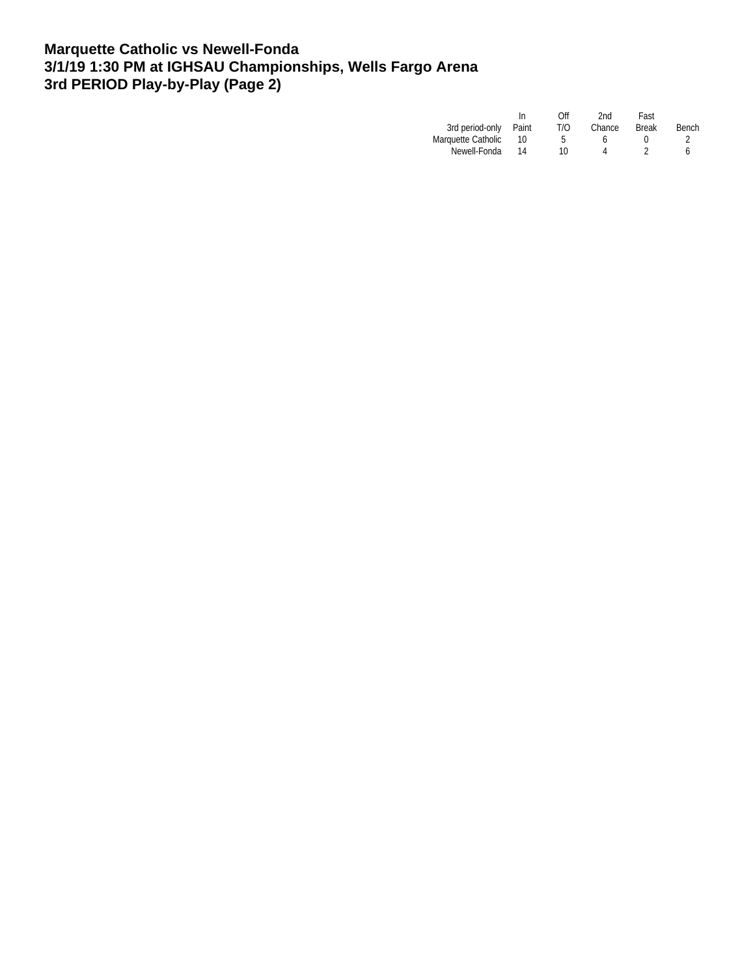### **Marquette Catholic vs Newell-Fonda 3/1/19 1:30 PM at IGHSAU Championships, Wells Fargo Arena 3rd PERIOD Play-by-Play (Page 2)**

|                    | In    | Off | 2nd.   | Fast         |       |
|--------------------|-------|-----|--------|--------------|-------|
| 3rd period-only    | Paint | T/O | Chance | <b>Break</b> | Bench |
| Marquette Catholic |       |     |        |              |       |
| Newell-Fonda       | 14    | 10  |        |              | ь     |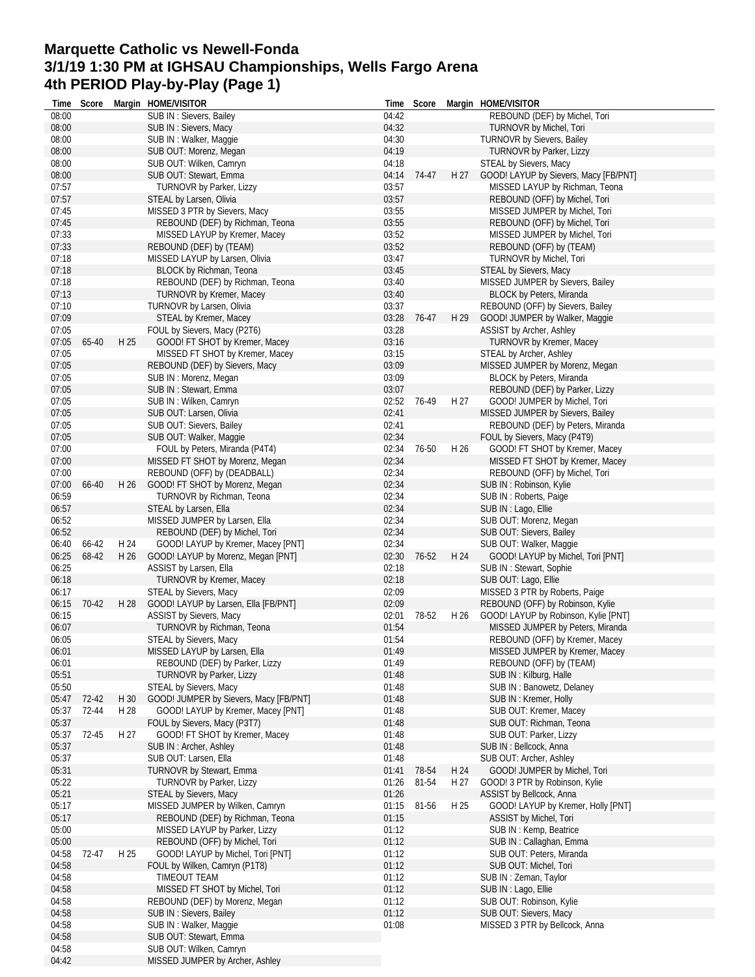### **Marquette Catholic vs Newell-Fonda 3/1/19 1:30 PM at IGHSAU Championships, Wells Fargo Arena 4th PERIOD Play-by-Play (Page 1)**

| Time           | Score |      | Margin HOME/VISITOR                    | Time           | Score       |      | Margin HOME/VISITOR                   |
|----------------|-------|------|----------------------------------------|----------------|-------------|------|---------------------------------------|
| 08:00          |       |      | SUB IN : Sievers, Bailey               | 04:42          |             |      | REBOUND (DEF) by Michel, Tori         |
| 08:00          |       |      | SUB IN: Sievers, Macy                  | 04:32          |             |      | TURNOVR by Michel, Tori               |
| 08:00          |       |      | SUB IN: Walker, Maggie                 | 04:30          |             |      | TURNOVR by Sievers, Bailey            |
| 08:00          |       |      | SUB OUT: Morenz, Megan                 | 04:19          |             |      | TURNOVR by Parker, Lizzy              |
| 08:00          |       |      | SUB OUT: Wilken, Camryn                | 04:18          |             |      | STEAL by Sievers, Macy                |
| 08:00          |       |      | SUB OUT: Stewart, Emma                 |                | 04:14 74-47 | H 27 | GOOD! LAYUP by Sievers, Macy [FB/PNT] |
| 07:57          |       |      | <b>TURNOVR by Parker, Lizzy</b>        | 03:57          |             |      | MISSED LAYUP by Richman, Teona        |
| 07:57          |       |      | STEAL by Larsen, Olivia                | 03:57          |             |      | REBOUND (OFF) by Michel, Tori         |
| 07:45          |       |      | MISSED 3 PTR by Sievers, Macy          | 03:55          |             |      | MISSED JUMPER by Michel, Tori         |
| 07:45          |       |      | REBOUND (DEF) by Richman, Teona        | 03:55          |             |      | REBOUND (OFF) by Michel, Tori         |
| 07:33          |       |      | MISSED LAYUP by Kremer, Macey          | 03:52          |             |      | MISSED JUMPER by Michel, Tori         |
| 07:33          |       |      | REBOUND (DEF) by (TEAM)                | 03:52          |             |      | REBOUND (OFF) by (TEAM)               |
| 07:18          |       |      | MISSED LAYUP by Larsen, Olivia         | 03:47          |             |      | TURNOVR by Michel, Tori               |
| 07:18          |       |      | BLOCK by Richman, Teona                | 03:45          |             |      | STEAL by Sievers, Macy                |
| 07:18          |       |      | REBOUND (DEF) by Richman, Teona        | 03:40          |             |      | MISSED JUMPER by Sievers, Bailey      |
| 07:13          |       |      | <b>TURNOVR by Kremer, Macey</b>        | 03:40          |             |      | <b>BLOCK by Peters, Miranda</b>       |
| 07:10          |       |      | TURNOVR by Larsen, Olivia              | 03:37          |             |      | REBOUND (OFF) by Sievers, Bailey      |
| 07:09          |       |      | STEAL by Kremer, Macey                 | 03:28          | 76-47       | H 29 | GOOD! JUMPER by Walker, Maggie        |
| 07:05          |       |      | FOUL by Sievers, Macy (P2T6)           | 03:28          |             |      | ASSIST by Archer, Ashley              |
| 07:05          | 65-40 | H 25 | GOOD! FT SHOT by Kremer, Macey         | 03:16          |             |      | <b>TURNOVR by Kremer, Macey</b>       |
| 07:05          |       |      | MISSED FT SHOT by Kremer, Macey        | 03:15          |             |      | STEAL by Archer, Ashley               |
| 07:05          |       |      | REBOUND (DEF) by Sievers, Macy         | 03:09          |             |      | MISSED JUMPER by Morenz, Megan        |
| 07:05          |       |      | SUB IN: Morenz, Megan                  | 03:09          |             |      | <b>BLOCK by Peters, Miranda</b>       |
| 07:05          |       |      | SUB IN: Stewart, Emma                  | 03:07          |             |      | REBOUND (DEF) by Parker, Lizzy        |
| 07:05          |       |      | SUB IN: Wilken, Camryn                 | 02:52          | 76-49       | H 27 | GOOD! JUMPER by Michel, Tori          |
| 07:05          |       |      | SUB OUT: Larsen, Olivia                | 02:41          |             |      | MISSED JUMPER by Sievers, Bailey      |
| 07:05          |       |      | SUB OUT: Sievers, Bailey               | 02:41          |             |      | REBOUND (DEF) by Peters, Miranda      |
| 07:05          |       |      | SUB OUT: Walker, Maggie                | 02:34          |             |      | FOUL by Sievers, Macy (P4T9)          |
| 07:00          |       |      | FOUL by Peters, Miranda (P4T4)         | 02:34          | 76-50       | H 26 | GOOD! FT SHOT by Kremer, Macey        |
| 07:00          |       |      | MISSED FT SHOT by Morenz, Megan        | 02:34          |             |      | MISSED FT SHOT by Kremer, Macey       |
| 07:00          |       |      | REBOUND (OFF) by (DEADBALL)            | 02:34          |             |      | REBOUND (OFF) by Michel, Tori         |
| 07:00          | 66-40 | H 26 | GOOD! FT SHOT by Morenz, Megan         | 02:34          |             |      | SUB IN: Robinson, Kylie               |
| 06:59          |       |      | TURNOVR by Richman, Teona              | 02:34          |             |      | SUB IN: Roberts, Paige                |
| 06:57          |       |      | STEAL by Larsen, Ella                  | 02:34          |             |      | SUB IN : Lago, Ellie                  |
| 06:52          |       |      | MISSED JUMPER by Larsen, Ella          | 02:34          |             |      | SUB OUT: Morenz, Megan                |
| 06:52          |       |      | REBOUND (DEF) by Michel, Tori          | 02:34          |             |      | SUB OUT: Sievers, Bailey              |
| 06:40          | 66-42 | H 24 | GOOD! LAYUP by Kremer, Macey [PNT]     | 02:34          |             |      | SUB OUT: Walker, Maggie               |
| 06:25          | 68-42 | H 26 |                                        | 02:30          | 76-52       | H 24 | GOOD! LAYUP by Michel, Tori [PNT]     |
|                |       |      | GOOD! LAYUP by Morenz, Megan [PNT]     |                |             |      |                                       |
| 06:25<br>06:18 |       |      | ASSIST by Larsen, Ella                 | 02:18<br>02:18 |             |      | SUB IN: Stewart, Sophie               |
|                |       |      | TURNOVR by Kremer, Macey               |                |             |      | SUB OUT: Lago, Ellie                  |
| 06:17          |       |      | STEAL by Sievers, Macy                 | 02:09          |             |      | MISSED 3 PTR by Roberts, Paige        |
| 06:15          | 70-42 | H 28 | GOOD! LAYUP by Larsen, Ella [FB/PNT]   | 02:09          |             |      | REBOUND (OFF) by Robinson, Kylie      |
| 06:15          |       |      | ASSIST by Sievers, Macy                | 02:01          | 78-52       | H 26 | GOOD! LAYUP by Robinson, Kylie [PNT]  |
| 06:07          |       |      | TURNOVR by Richman, Teona              | 01:54          |             |      | MISSED JUMPER by Peters, Miranda      |
| 06:05          |       |      | STEAL by Sievers, Macy                 | 01:54          |             |      | REBOUND (OFF) by Kremer, Macey        |
| 06:01          |       |      | MISSED LAYUP by Larsen, Ella           | 01:49          |             |      | MISSED JUMPER by Kremer, Macey        |
| 06:01          |       |      | REBOUND (DEF) by Parker, Lizzy         | 01:49          |             |      | REBOUND (OFF) by (TEAM)               |
| 05:51          |       |      | TURNOVR by Parker, Lizzy               | 01:48          |             |      | SUB IN: Kilburg, Halle                |
| 05:50          |       |      | STEAL by Sievers, Macy                 | 01:48          |             |      | SUB IN: Banowetz, Delaney             |
| 05:47          | 72-42 | H 30 | GOOD! JUMPER by Sievers, Macy [FB/PNT] | 01:48          |             |      | SUB IN: Kremer, Holly                 |
| 05:37          | 72-44 | H 28 | GOOD! LAYUP by Kremer, Macey [PNT]     | 01:48          |             |      | SUB OUT: Kremer, Macey                |
| 05:37          |       |      | FOUL by Sievers, Macy (P3T7)           | 01:48          |             |      | SUB OUT: Richman, Teona               |
| 05:37          | 72-45 | H 27 | GOOD! FT SHOT by Kremer, Macey         | 01:48          |             |      | SUB OUT: Parker, Lizzy                |
| 05:37          |       |      | SUB IN: Archer, Ashley                 | 01:48          |             |      | SUB IN : Bellcock, Anna               |
| 05:37          |       |      | SUB OUT: Larsen, Ella                  | 01:48          |             |      | SUB OUT: Archer, Ashley               |
| 05:31          |       |      | TURNOVR by Stewart, Emma               | 01:41          | 78-54       | H 24 | GOOD! JUMPER by Michel, Tori          |
| 05:22          |       |      | <b>TURNOVR by Parker, Lizzy</b>        | 01:26          | 81-54       | H 27 | GOOD! 3 PTR by Robinson, Kylie        |
| 05:21          |       |      | STEAL by Sievers, Macy                 | 01:26          |             |      | ASSIST by Bellcock, Anna              |
| 05:17          |       |      | MISSED JUMPER by Wilken, Camryn        | 01:15          | 81-56       | H 25 | GOOD! LAYUP by Kremer, Holly [PNT]    |
| 05:17          |       |      | REBOUND (DEF) by Richman, Teona        | 01:15          |             |      | ASSIST by Michel, Tori                |
| 05:00          |       |      | MISSED LAYUP by Parker, Lizzy          | 01:12          |             |      | SUB IN: Kemp, Beatrice                |
| 05:00          |       |      | REBOUND (OFF) by Michel, Tori          | 01:12          |             |      | SUB IN: Callaghan, Emma               |
| 04:58          | 72-47 | H 25 | GOOD! LAYUP by Michel, Tori [PNT]      | 01:12          |             |      | SUB OUT: Peters, Miranda              |
| 04:58          |       |      | FOUL by Wilken, Camryn (P1T8)          | 01:12          |             |      | SUB OUT: Michel, Tori                 |
| 04:58          |       |      | TIMEOUT TEAM                           | 01:12          |             |      | SUB IN: Zeman, Taylor                 |
| 04:58          |       |      | MISSED FT SHOT by Michel, Tori         | 01:12          |             |      | SUB IN : Lago, Ellie                  |
| 04:58          |       |      | REBOUND (DEF) by Morenz, Megan         | 01:12          |             |      | SUB OUT: Robinson, Kylie              |
| 04:58          |       |      | SUB IN: Sievers, Bailey                | 01:12          |             |      | SUB OUT: Sievers, Macy                |
| 04:58          |       |      | SUB IN: Walker, Maggie                 | 01:08          |             |      | MISSED 3 PTR by Bellcock, Anna        |
| 04:58          |       |      | SUB OUT: Stewart, Emma                 |                |             |      |                                       |
| 04:58          |       |      | SUB OUT: Wilken, Camryn                |                |             |      |                                       |
| 04:42          |       |      | MISSED JUMPER by Archer, Ashley        |                |             |      |                                       |